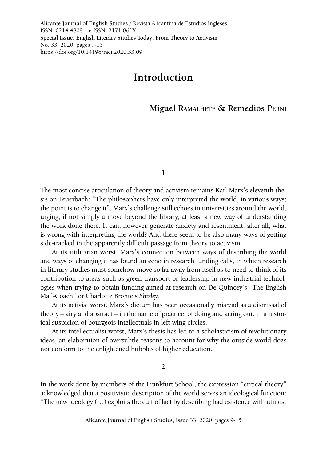**Alicante Journal of English Studies /** Revista Alicantina de Estudios Ingleses ISSN: 0214-4808 | e-ISSN: 2171-861X **Special Issue: English Literary Studies Today: From Theory to Activism** No. 33, 2020, pages 9-15 https://doi.org/10.14198/raei.2020.33.09

# **Introduction**

## **Miguel Ramalhete & Remedios Perni**

**1**

The most concise articulation of theory and activism remains Karl Marx's eleventh thesis on Feuerbach: "The philosophers have only interpreted the world, in various ways; the point is to change it". Marx's challenge still echoes in universities around the world, urging, if not simply a move beyond the library, at least a new way of understanding the work done there. It can, however, generate anxiety and resentment: after all, what is wrong with interpreting the world? And there seem to be also many ways of getting side-tracked in the apparently difficult passage from theory to activism.

At its utilitarian worst, Marx's connection between ways of describing the world and ways of changing it has found an echo in research funding calls, in which research in literary studies must somehow move so far away from itself as to need to think of its contribution to areas such as green transport or leadership in new industrial technologies when trying to obtain funding aimed at research on De Quincey's "The English Mail-Coach" or Charlotte Brontë's *Shirley*.

At its activist worst, Marx's dictum has been occasionally misread as a dismissal of theory – airy and abstract – in the name of practice, of doing and acting out, in a historical suspicion of bourgeois intellectuals in left-wing circles.

At its intellectualist worst, Marx's thesis has led to a scholasticism of revolutionary ideas, an elaboration of oversubtle reasons to account for why the outside world does not conform to the enlightened bubbles of higher education.

**2**

In the work done by members of the Frankfurt School, the expression "critical theory" acknowledged that a positivistic description of the world serves an ideological function: "The new ideology (…) exploits the cult of fact by describing bad existence with utmost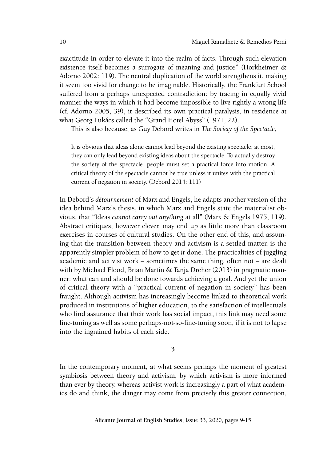exactitude in order to elevate it into the realm of facts. Through such elevation existence itself becomes a surrogate of meaning and justice" (Horkheimer & Adorno 2002: 119). The neutral duplication of the world strengthens it, making it seem too vivid for change to be imaginable. Historically, the Frankfurt School suffered from a perhaps unexpected contradiction: by tracing in equally vivid manner the ways in which it had become impossible to live rightly a wrong life (cf. Adorno 2005, 39), it described its own practical paralysis, in residence at what Georg Lukács called the "Grand Hotel Abyss" (1971, 22).

This is also because, as Guy Debord writes in *The Society of the Spectacle*,

It is obvious that ideas alone cannot lead beyond the existing spectacle; at most, they can only lead beyond existing ideas about the spectacle. To actually destroy the society of the spectacle, people must set a practical force into motion. A critical theory of the spectacle cannot be true unless it unites with the practical current of negation in society. (Debord 2014: 111)

In Debord's *détournement* of Marx and Engels, he adapts another version of the idea behind Marx's thesis, in which Marx and Engels state the materialist obvious, that "Ideas *cannot carry out anything* at all" (Marx & Engels 1975, 119). Abstract critiques, however clever, may end up as little more than classroom exercises in courses of cultural studies. On the other end of this, and assuming that the transition between theory and activism is a settled matter, is the apparently simpler problem of how to get *it* done. The practicalities of juggling academic and activist work – sometimes the same thing, often not – are dealt with by Michael Flood, Brian Martin & Tanja Dreher (2013) in pragmatic manner: what can and should be done towards achieving a goal. And yet the union of critical theory with a "practical current of negation in society" has been fraught. Although activism has increasingly become linked to theoretical work produced in institutions of higher education, to the satisfaction of intellectuals who find assurance that their work has social impact, this link may need some fine-tuning as well as some perhaps-not-so-fine-tuning soon, if it is not to lapse into the ingrained habits of each side.

**3**

In the contemporary moment, at what seems perhaps the moment of greatest symbiosis between theory and activism, by which activism is more informed than ever by theory, whereas activist work is increasingly a part of what academics do and think, the danger may come from precisely this greater connection,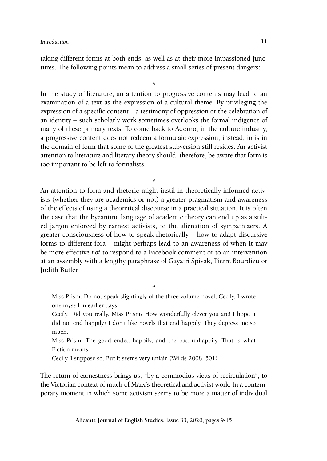taking different forms at both ends, as well as at their more impassioned junctures. The following points mean to address a small series of present dangers:

**\*** In the study of literature, an attention to progressive contents may lead to an examination of a text as the expression of a cultural theme. By privileging the expression of a specific content – a testimony of oppression or the celebration of an identity – such scholarly work sometimes overlooks the formal indigence of many of these primary texts. To come back to Adorno, in the culture industry, a progressive content does not redeem a formulaic expression; instead, in is in the domain of form that some of the greatest subversion still resides. An activist attention to literature and literary theory should, therefore, be aware that form is too important to be left to formalists.

**\*** An attention to form and rhetoric might instil in theoretically informed activists (whether they are academics or not) a greater pragmatism and awareness of the effects of using a theoretical discourse in a practical situation. It is often the case that the byzantine language of academic theory can end up as a stilted jargon enforced by earnest activists, to the alienation of sympathizers. A greater consciousness of how to speak rhetorically – how to adapt discursive forms to different fora – might perhaps lead to an awareness of when it may be more effective *not* to respond to a Facebook comment or to an intervention at an assembly with a lengthy paraphrase of Gayatri Spivak, Pierre Bourdieu or Judith Butler.

**\*** Miss Prism. Do not speak slightingly of the three-volume novel, Cecily. I wrote one myself in earlier days.

Cecily. Did you really, Miss Prism? How wonderfully clever you are! I hope it did not end happily? I don't like novels that end happily. They depress me so much.

Miss Prism. The good ended happily, and the bad unhappily. That is what Fiction means.

Cecily. I suppose so. But it seems very unfair. (Wilde 2008, 501).

The return of earnestness brings us, "by a commodius vicus of recirculation", to the Victorian context of much of Marx's theoretical and activist work. In a contemporary moment in which some activism seems to be more a matter of individual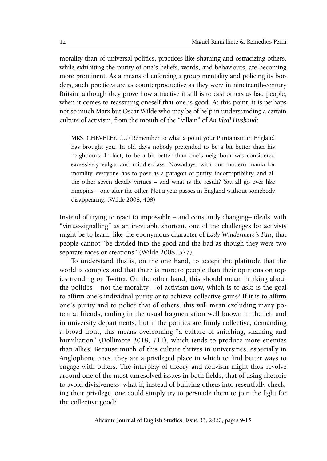morality than of universal politics, practices like shaming and ostracizing others, while exhibiting the purity of one's beliefs, words, and behaviours, are becoming more prominent. As a means of enforcing a group mentality and policing its borders, such practices are as counterproductive as they were in nineteenth-century Britain, although they prove how attractive it still is to cast others as bad people, when it comes to reassuring oneself that one is good. At this point, it is perhaps not so much Marx but Oscar Wilde who may be of help in understanding a certain culture of activism, from the mouth of the "villain" of *An Ideal Husband*:

MRS. CHEVELEY. (…) Remember to what a point your Puritanism in England has brought you. In old days nobody pretended to be a bit better than his neighbours. In fact, to be a bit better than one's neighbour was considered excessively vulgar and middle-class. Nowadays, with our modern mania for morality, everyone has to pose as a paragon of purity, incorruptibility, and all the other seven deadly virtues – and what is the result? You all go over like ninepins – one after the other. Not a year passes in England without somebody disappearing. (Wilde 2008, 408)

Instead of trying to react to impossible – and constantly changing– ideals, with "virtue-signalling" as an inevitable shortcut, one of the challenges for activists might be to learn, like the eponymous character of *Lady Windermere's Fan*, that people cannot "be divided into the good and the bad as though they were two separate races or creations" (Wilde 2008, 377).

To understand this is, on the one hand, to accept the platitude that the world is complex and that there is more to people than their opinions on topics trending on Twitter. On the other hand, this should mean thinking about the politics – not the morality – of activism now, which is to ask: is the goal to affirm one's individual purity or to achieve collective gains? If it is to affirm one's purity and to police that of others, this will mean excluding many potential friends, ending in the usual fragmentation well known in the left and in university departments; but if the politics are firmly collective, demanding a broad front, this means overcoming "a culture of snitching, shaming and humiliation" (Dollimore 2018, 711), which tends to produce more enemies than allies. Because much of this culture thrives in universities, especially in Anglophone ones, they are a privileged place in which to find better ways to engage with others. The interplay of theory and activism might thus revolve around one of the most unresolved issues in both fields, that of using rhetoric to avoid divisiveness: what if, instead of bullying others into resentfully checking their privilege, one could simply try to persuade them to join the fight for the collective good?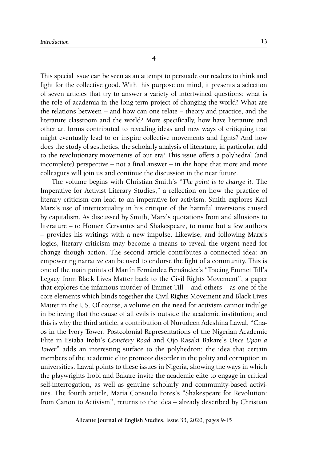**4**

This special issue can be seen as an attempt to persuade our readers to think and fight for the collective good. With this purpose on mind, it presents a selection of seven articles that try to answer a variety of intertwined questions: what is the role of academia in the long-term project of changing the world? What are the relations between – and how can one relate – theory and practice, and the literature classroom and the world? More specifically, how have literature and other art forms contributed to revealing ideas and new ways of critiquing that might eventually lead to or inspire collective movements and fights? And how does the study of aesthetics, the scholarly analysis of literature, in particular, add to the revolutionary movements of our era? This issue offers a polyhedral (and incomplete) perspective – not a final answer – in the hope that more and more colleagues will join us and continue the discussion in the near future.

The volume begins with Christian Smith's "*The point is to change it*: The Imperative for Activist Literary Studies," a reflection on how the practice of literary criticism can lead to an imperative for activism. Smith explores Karl Marx's use of intertextuality in his critique of the harmful inversions caused by capitalism. As discussed by Smith, Marx's quotations from and allusions to literature – to Homer, Cervantes and Shakespeare, to name but a few authors – provides his writings with a new impulse. Likewise, and following Marx's logics, literary criticism may become a means to reveal the urgent need for change though action. The second article contributes a connected idea: an empowering narrative can be used to endorse the fight of a community. This is one of the main points of Martín Fernández Fernández's "Tracing Emmet Till's Legacy from Black Lives Matter back to the Civil Rights Movement", a paper that explores the infamous murder of Emmet Till – and others – as one of the core elements which binds together the Civil Rights Movement and Black Lives Matter in the US. Of course, a volume on the need for activism cannot indulge in believing that the cause of all evils is outside the academic institution; and this is why the third article, a contribution of Nurudeen Adeshina Lawal, "Chaos in the Ivory Tower: Postcolonial Representations of the Nigerian Academic Elite in Esiaba Irobi's *Cemetery Road* and Ojo Rasaki Bakare's *Once Upon a Tower*" adds an interesting surface to the polyhedron: the idea that certain members of the academic elite promote disorder in the polity and corruption in universities. Lawal points to these issues in Nigeria, showing the ways in which the playwrights Irobi and Bakare invite the academic elite to engage in critical self-interrogation, as well as genuine scholarly and community-based activities. The fourth article, María Consuelo Fores's "Shakespeare for Revolution: from Canon to Activism", returns to the idea – already described by Christian

**Alicante Journal of English Studies,** Issue 33, 2020, pages 9-15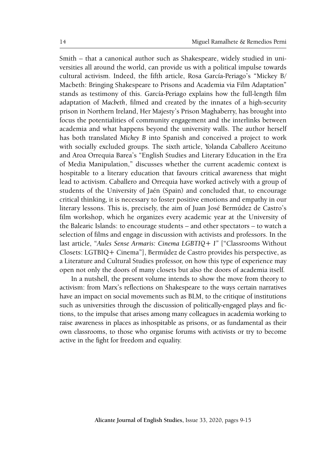Smith – that a canonical author such as Shakespeare, widely studied in universities all around the world, can provide us with a political impulse towards cultural activism. Indeed, the fifth article, Rosa García-Periago's "Mickey B/ Macbeth: Bringing Shakespeare to Prisons and Academia via Film Adaptation" stands as testimony of this. García-Periago explains how the full-length film adaptation of *Macbeth*, filmed and created by the innates of a high-security prison in Northern Ireland, Her Majesty's Prison Maghaberry, has brought into focus the potentialities of community engagement and the interlinks between academia and what happens beyond the university walls. The author herself has both translated *Mickey B* into Spanish and conceived a project to work with socially excluded groups. The sixth article, Yolanda Caballero Aceituno and Aroa Orrequia Barea's "English Studies and Literary Education in the Era of Media Manipulation," discusses whether the current academic context is hospitable to a literary education that favours critical awareness that might lead to activism. Caballero and Orrequia have worked actively with a group of students of the University of Jaén (Spain) and concluded that, to encourage critical thinking, it is necessary to foster positive emotions and empathy in our literary lessons. This is, precisely, the aim of Juan José Bermúdez de Castro's film workshop, which he organizes every academic year at the University of the Balearic Islands: to encourage students – and other spectators – to watch a selection of films and engage in discussion with activists and professors. In the last article, "*Aules Sense Armaris: Cinema LGBTIQ+ I"* ["Classrooms Without Closets: LGTBIQ+ Cinema"], Bermúdez de Castro provides his perspective, as a Literature and Cultural Studies professor, on how this type of experience may open not only the doors of many closets but also the doors of academia itself.

In a nutshell, the present volume intends to show the move from theory to activism: from Marx's reflections on Shakespeare to the ways certain narratives have an impact on social movements such as BLM, to the critique of institutions such as universities through the discussion of politically-engaged plays and fictions, to the impulse that arises among many colleagues in academia working to raise awareness in places as inhospitable as prisons, or as fundamental as their own classrooms, to those who organise forums with activists or try to become active in the fight for freedom and equality.